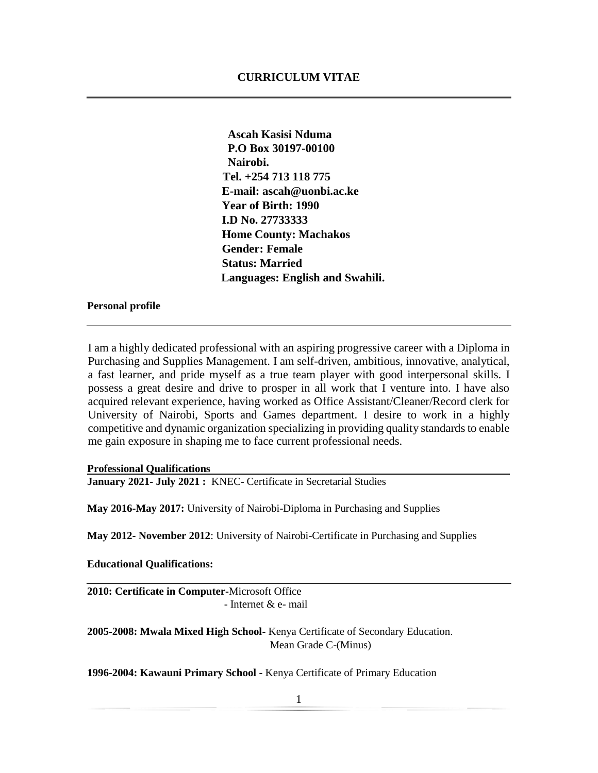**Ascah Kasisi Nduma P.O Box 30197-00100 Nairobi. Tel. +254 713 118 775 E-mail: ascah@uonbi.ac.ke Year of Birth: 1990 I.D No. 27733333 Home County: Machakos Gender: Female Status: Married Languages: English and Swahili.** 

### **Personal profile**

I am a highly dedicated professional with an aspiring progressive career with a Diploma in Purchasing and Supplies Management. I am self-driven, ambitious, innovative, analytical, a fast learner, and pride myself as a true team player with good interpersonal skills. I possess a great desire and drive to prosper in all work that I venture into. I have also acquired relevant experience, having worked as Office Assistant/Cleaner/Record clerk for University of Nairobi, Sports and Games department. I desire to work in a highly competitive and dynamic organization specializing in providing quality standards to enable me gain exposure in shaping me to face current professional needs.

#### **Professional Qualifications**

**January 2021- July 2021 :** KNEC- Certificate in Secretarial Studies

**May 2016-May 2017:** University of Nairobi-Diploma in Purchasing and Supplies

**May 2012- November 2012**: University of Nairobi-Certificate in Purchasing and Supplies

**Educational Qualifications:** 

**2010: Certificate in Computer-**Microsoft Office - Internet & e- mail

**2005-2008: Mwala Mixed High School-** Kenya Certificate of Secondary Education. Mean Grade C-(Minus)

**1996-2004: Kawauni Primary School -** Kenya Certificate of Primary Education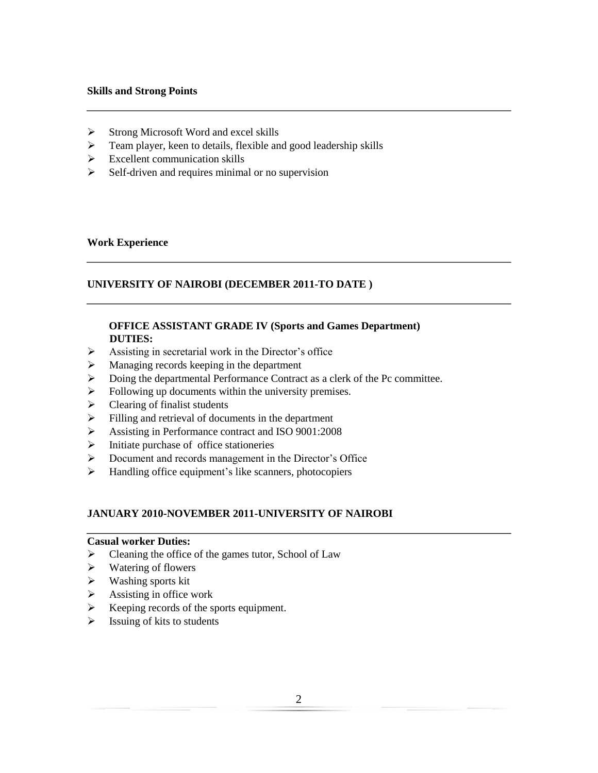## **Skills and Strong Points**

- $\triangleright$  Strong Microsoft Word and excel skills
- $\triangleright$  Team player, keen to details, flexible and good leadership skills
- $\triangleright$  Excellent communication skills
- $\triangleright$  Self-driven and requires minimal or no supervision

## **Work Experience**

## **UNIVERSITY OF NAIROBI (DECEMBER 2011-TO DATE )**

## **OFFICE ASSISTANT GRADE IV (Sports and Games Department) DUTIES:**

- $\triangleright$  Assisting in secretarial work in the Director's office
- **Managing records keeping in the department**
- Doing the departmental Performance Contract as a clerk of the Pc committee.
- $\triangleright$  Following up documents within the university premises.
- $\triangleright$  Clearing of finalist students
- Filling and retrieval of documents in the department
- Assisting in Performance contract and ISO 9001:2008
- $\triangleright$  Initiate purchase of office stationeries
- Document and records management in the Director's Office
- $\triangleright$  Handling office equipment's like scanners, photocopiers

## **JANUARY 2010-NOVEMBER 2011-UNIVERSITY OF NAIROBI**

### **Casual worker Duties:**

- $\triangleright$  Cleaning the office of the games tutor, School of Law
- $\triangleright$  Watering of flowers
- $\triangleright$  Washing sports kit
- $\triangleright$  Assisting in office work
- $\triangleright$  Keeping records of the sports equipment.
- $\triangleright$  Issuing of kits to students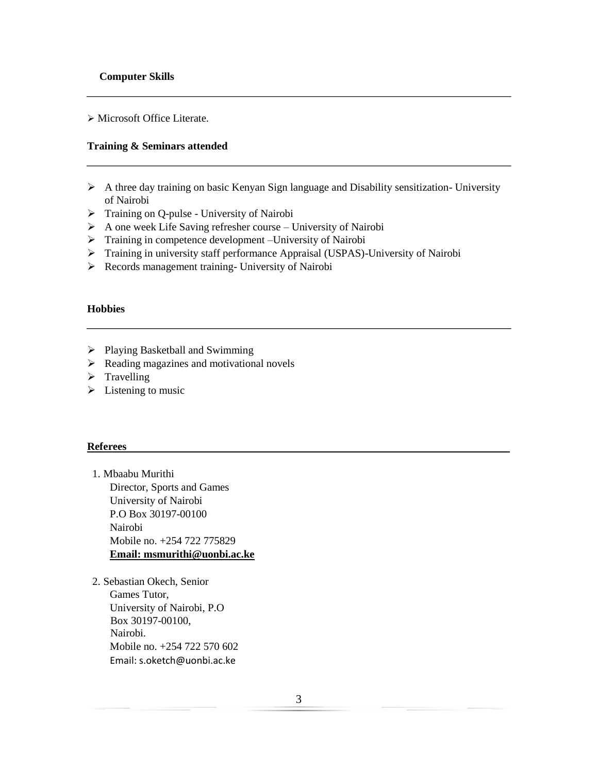Microsoft Office Literate.

# **Training & Seminars attended**

- A three day training on basic Kenyan Sign language and Disability sensitization- University of Nairobi
- > Training on Q-pulse University of Nairobi
- $\triangleright$  A one week Life Saving refresher course University of Nairobi
- $\triangleright$  Training in competence development –University of Nairobi
- Training in university staff performance Appraisal (USPAS)-University of Nairobi
- Records management training- University of Nairobi

#### **Hobbies**

- Playing Basketball and Swimming
- $\triangleright$  Reading magazines and motivational novels
- $\triangleright$  Travelling
- $\triangleright$  Listening to music

#### **Referees**

- 1. Mbaabu Murithi Director, Sports and Games University of Nairobi P.O Box 30197-00100 Nairobi Mobile no. +254 722 775829 **Email: msmurithi@uonbi.ac.ke**
- 2. Sebastian Okech, Senior Games Tutor, University of Nairobi, P.O Box 30197-00100, Nairobi. Mobile no. +254 722 570 602 Email: s.oketch@uonbi.ac.ke